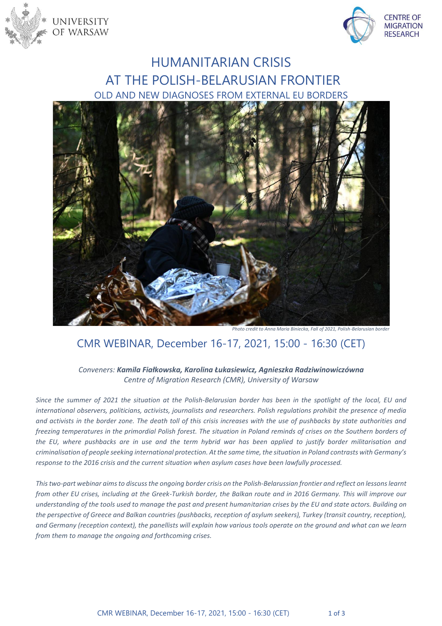



# HUMANITARIAN CRISIS AT THE POLISH-BELARUSIAN FRONTIER OLD AND NEW DIAGNOSES FROM EXTERNAL EU BORDERS



*Photo credit to Anna Maria Biniecka, Fall of 2021, Polish-Belarusian border*

## CMR WEBINAR, December 16-17, 2021, 15:00 - 16:30 (CET)

#### *Conveners: Kamila Fiałkowska, Karolina Łukasiewicz, Agnieszka Radziwinowiczówna Centre of Migration Research (CMR), University of Warsaw*

*Since the summer of 2021 the situation at the Polish-Belarusian border has been in the spotlight of the local, EU and international observers, politicians, activists, journalists and researchers. Polish regulations prohibit the presence of media and activists in the border zone. The death toll of this crisis increases with the use of pushbacks by state authorities and freezing temperatures in the primordial Polish forest. The situation in Poland reminds of crises on the Southern borders of the EU, where pushbacks are in use and the term hybrid war has been applied to justify border militarisation and criminalisation of people seeking international protection. At the same time, the situation in Poland contrasts with Germany's response to the 2016 crisis and the current situation when asylum cases have been lawfully processed.*

*This two-part webinar aims to discuss the ongoing border crisis on the Polish-Belarussian frontier and reflect on lessons learnt from other EU crises, including at the Greek-Turkish border, the Balkan route and in 2016 Germany. This will improve our understanding of the tools used to manage the past and present humanitarian crises by the EU and state actors. Building on the perspective of Greece and Balkan countries (pushbacks, reception of asylum seekers), Turkey (transit country, reception), and Germany (reception context), the panellists will explain how various tools operate on the ground and what can we learn from them to manage the ongoing and forthcoming crises.*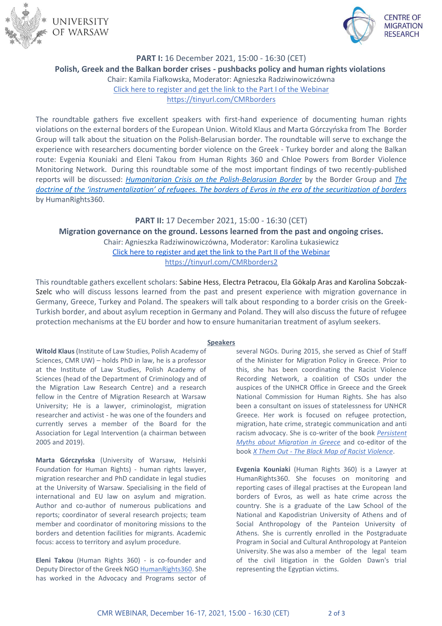



### **PART I:** 16 December 2021, 15:00 - 16:30 (CET) **Polish, Greek and the Balkan border crises - pushbacks policy and human rights violations** Chair: Kamila Fiałkowska, Moderator: Agnieszka Radziwinowiczówna [Click here to register and get the link to the Part I of the Webinar](https://www.eventbrite.com/e/223481578417) https://tinyurl.com/CMRborders

The roundtable gathers five excellent speakers with first-hand experience of documenting human rights violations on the external borders of the European Union. Witold Klaus and Marta Górczyńska from The Border Group will talk about the situation on the Polish-Belarusian border. The roundtable will serve to exchange the experience with researchers documenting border violence on the Greek - Turkey border and along the Balkan route: Evgenia Kouniaki and Eleni Takou from Human Rights 360 and Chloe Powers from Border Violence Monitoring Network. During this roundtable some of the most important findings of two recently-published reports will be discussed: *[Humanitarian Crisis on the Polish-Belarusian Border](https://www.grupagranica.pl/files/Raport-GG-Kryzys-humanitarny-napograniczu-polsko-bialoruskim.pdf)* by the Border Group and *[The](https://www.humanrights360.org/wp-content/uploads/2021/11/Evros_en.pdf)  [doctrine of the 'instrumentalization' of refugees. The borders of Evros in the era of the securitization of borders](https://www.humanrights360.org/wp-content/uploads/2021/11/Evros_en.pdf)* by ΗumanRights360.

## **PART II:** 17 December 2021, 15:00 - 16:30 (CET) **Migration governance on the ground. Lessons learned from the past and ongoing crises.** Chair: Agnieszka Radziwinowiczówna, Moderator: Karolina Łukasiewicz [Click here to register and get the link to the Part II of the Webinar](https://www.eventbrite.com/e/lessons-learned-from-humanitarian-crises-at-the-eu-borders-tickets-224003018057) https://tinyurl.com/CMRborders2

This roundtable gathers excellent scholars: [Sabine Hess,](https://www.uni-goettingen.de/en/208718.html) Electra Petracou, Ela Gökalp Aras and Karolina Sobczak-Szelc who will discuss lessons learned from the past and present experience with migration governance in Germany, Greece, Turkey and Poland. The speakers will talk about responding to a border crisis on the Greek-Turkish border, and about asylum reception in Germany and Poland. They will also discuss the future of refugee protection mechanisms at the EU border and how to ensure humanitarian treatment of asylum seekers.

#### **Speakers**

**Witold Klaus** (Institute of Law Studies, Polish Academy of Sciences, CMR UW) – holds PhD in law, he is a professor at the Institute of Law Studies, Polish Academy of Sciences (head of the Department of Criminology and of the Migration Law Research Centre) and a research fellow in the Centre of Migration Research at Warsaw University; He is a lawyer, criminologist, migration researcher and activist - he was one of the founders and currently serves a member of the Board for the Association for Legal Intervention (a chairman between 2005 and 2019).

**Marta Górczyńska** (University of Warsaw, Helsinki Foundation for Human Rights) - human rights lawyer, migration researcher and PhD candidate in legal studies at the University of Warsaw. Specialising in the field of international and EU law on asylum and migration. Author and co-author of numerous publications and reports; coordinator of several research projects; team member and coordinator of monitoring missions to the borders and detention facilities for migrants. Academic focus: access to territory and asylum procedure.

**Eleni Takou** (Human Rights 360) - is co-founder and Deputy Director of the Greek NGO [HumanRights360.](https://www.humanrights360.org/) She has worked in the Advocacy and Programs sector of several NGOs. During 2015, she served as Chief of Staff of the Minister for Migration Policy in Greece. Prior to this, she has been coordinating the Racist Violence Recording Network, a coalition of CSOs under the auspices of the UNHCR Office in Greece and the Greek National Commission for Human Rights. She has also been a consultant on issues of statelessness for UNHCR Greece. Her work is focused on refugee protection, migration, hate crime, strategic communication and anti racism advocacy. She is co-writer of the book *[Persistent](https://rosalux.gr/el/publication/i-metanasteysi-stin-ellada)  [Myths about Migration in Greece](https://rosalux.gr/el/publication/i-metanasteysi-stin-ellada)* and co-editor of the book *X Them Out - [The Black Map of Racist Violence](http://www.toposbooks.gr/contents/eng/books_details_eng.php?nid=631)*.

**Evgenia Kouniaki** (Human Rights 360) is a Lawyer at HumanRights360. She focuses on monitoring and reporting cases of illegal practises at the European land borders of Evros, as well as hate crime across the country. She is a graduate of the Law School of the National and Kapodistrian University of Athens and of Social Anthropology of the Panteion University of Athens. She is currently enrolled in the Postgraduate Program in Social and Cultural Anthropology at Panteion University. She was also a member of the legal team of the civil litigation in the Golden Dawn's trial representing the Egyptian victims.